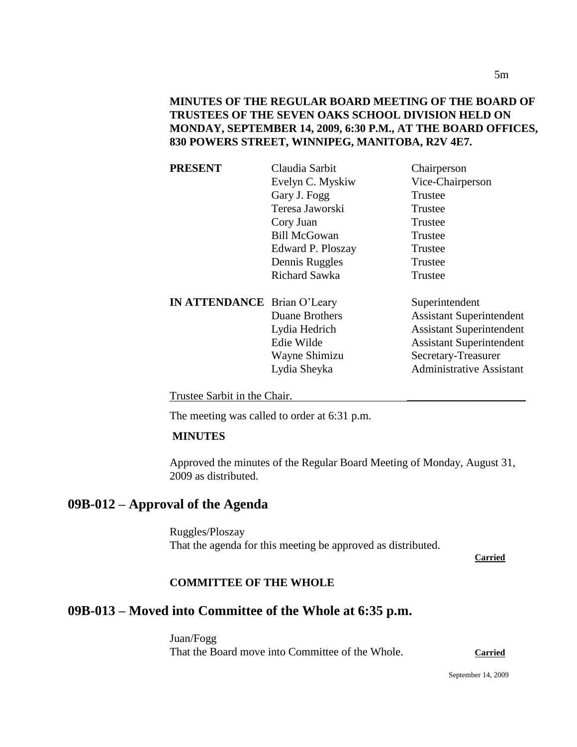| <b>PRESENT</b>                     | Claudia Sarbit      | Chairperson                     |
|------------------------------------|---------------------|---------------------------------|
|                                    | Evelyn C. Myskiw    | Vice-Chairperson                |
|                                    | Gary J. Fogg        | Trustee                         |
|                                    | Teresa Jaworski     | Trustee                         |
|                                    | Cory Juan           | Trustee                         |
|                                    | <b>Bill McGowan</b> | Trustee                         |
|                                    | Edward P. Ploszay   | Trustee                         |
|                                    | Dennis Ruggles      | Trustee                         |
|                                    | Richard Sawka       | Trustee                         |
| <b>IN ATTENDANCE</b> Brian O'Leary |                     | Superintendent                  |
|                                    | Duane Brothers      | <b>Assistant Superintendent</b> |
|                                    | Lydia Hedrich       | <b>Assistant Superintendent</b> |
|                                    | Edie Wilde          | <b>Assistant Superintendent</b> |
|                                    | Wayne Shimizu       | Secretary-Treasurer             |
|                                    | Lydia Sheyka        | <b>Administrative Assistant</b> |
|                                    |                     |                                 |

Trustee Sarbit in the Chair.

The meeting was called to order at 6:31 p.m.

#### **MINUTES**

Approved the minutes of the Regular Board Meeting of Monday, August 31, 2009 as distributed.

# **09B-012 – Approval of the Agenda**

Ruggles/Ploszay That the agenda for this meeting be approved as distributed.

**Carried**

#### **COMMITTEE OF THE WHOLE**

# **09B-013 – Moved into Committee of the Whole at 6:35 p.m.**

Juan/Fogg That the Board move into Committee of the Whole. **Carried**

September 14, 2009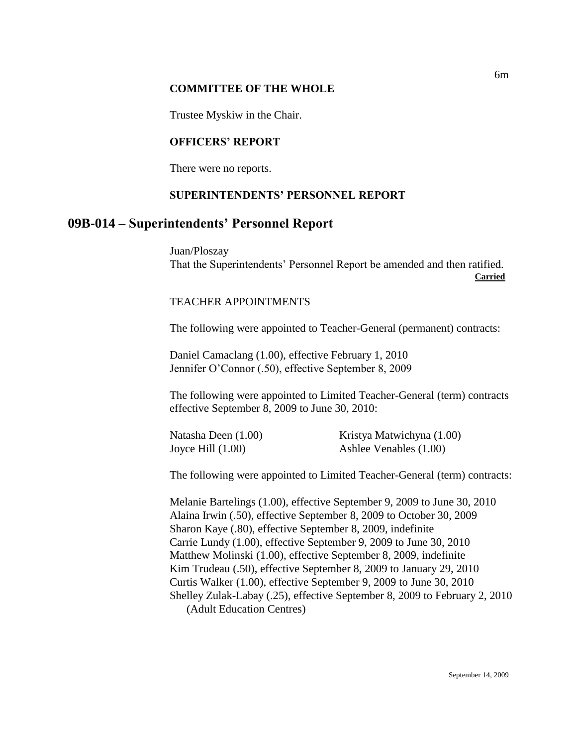#### **COMMITTEE OF THE WHOLE**

Trustee Myskiw in the Chair.

#### **OFFICERS' REPORT**

There were no reports.

#### **SUPERINTENDENTS' PERSONNEL REPORT**

## **09B-014 – Superintendents' Personnel Report**

Juan/Ploszay That the Superintendents' Personnel Report be amended and then ratified. **Carried**

#### TEACHER APPOINTMENTS

The following were appointed to Teacher-General (permanent) contracts:

Daniel Camaclang (1.00), effective February 1, 2010 Jennifer O'Connor (.50), effective September 8, 2009

The following were appointed to Limited Teacher-General (term) contracts effective September 8, 2009 to June 30, 2010:

| Natasha Deen (1.00) | Kristya Matwichyna (1.00) |
|---------------------|---------------------------|
| Joyce Hill $(1.00)$ | Ashlee Venables (1.00)    |

The following were appointed to Limited Teacher-General (term) contracts:

Melanie Bartelings (1.00), effective September 9, 2009 to June 30, 2010 Alaina Irwin (.50), effective September 8, 2009 to October 30, 2009 Sharon Kaye (.80), effective September 8, 2009, indefinite Carrie Lundy (1.00), effective September 9, 2009 to June 30, 2010 Matthew Molinski (1.00), effective September 8, 2009, indefinite Kim Trudeau (.50), effective September 8, 2009 to January 29, 2010 Curtis Walker (1.00), effective September 9, 2009 to June 30, 2010 Shelley Zulak-Labay (.25), effective September 8, 2009 to February 2, 2010 (Adult Education Centres)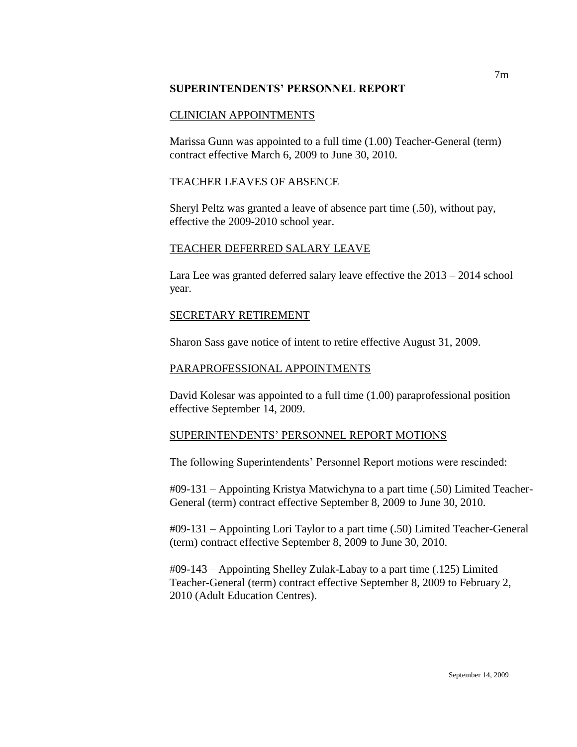#### **SUPERINTENDENTS' PERSONNEL REPORT**

#### CLINICIAN APPOINTMENTS

Marissa Gunn was appointed to a full time (1.00) Teacher-General (term) contract effective March 6, 2009 to June 30, 2010.

#### TEACHER LEAVES OF ABSENCE

Sheryl Peltz was granted a leave of absence part time (.50), without pay, effective the 2009-2010 school year.

#### TEACHER DEFERRED SALARY LEAVE

Lara Lee was granted deferred salary leave effective the 2013 – 2014 school year.

#### SECRETARY RETIREMENT

Sharon Sass gave notice of intent to retire effective August 31, 2009.

#### PARAPROFESSIONAL APPOINTMENTS

David Kolesar was appointed to a full time (1.00) paraprofessional position effective September 14, 2009.

#### SUPERINTENDENTS' PERSONNEL REPORT MOTIONS

The following Superintendents' Personnel Report motions were rescinded:

#09-131 – Appointing Kristya Matwichyna to a part time (.50) Limited Teacher-General (term) contract effective September 8, 2009 to June 30, 2010.

#09-131 – Appointing Lori Taylor to a part time (.50) Limited Teacher-General (term) contract effective September 8, 2009 to June 30, 2010.

#09-143 – Appointing Shelley Zulak-Labay to a part time (.125) Limited Teacher-General (term) contract effective September 8, 2009 to February 2, 2010 (Adult Education Centres).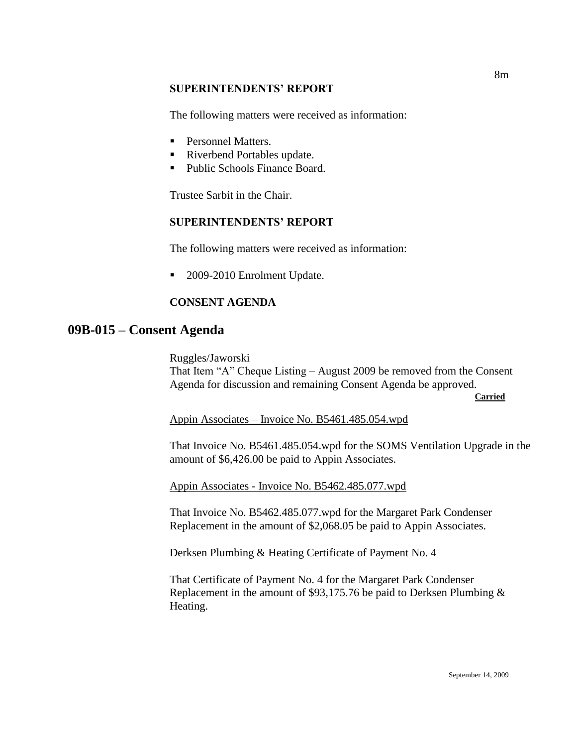#### **SUPERINTENDENTS' REPORT**

The following matters were received as information:

- Personnel Matters.
- Riverbend Portables update.
- Public Schools Finance Board.

Trustee Sarbit in the Chair.

## **SUPERINTENDENTS' REPORT**

The following matters were received as information:

■ 2009-2010 Enrolment Update.

## **CONSENT AGENDA**

# **09B-015 – Consent Agenda**

Ruggles/Jaworski

That Item "A" Cheque Listing – August 2009 be removed from the Consent Agenda for discussion and remaining Consent Agenda be approved.

**Carried**

Appin Associates – Invoice No. B5461.485.054.wpd

That Invoice No. B5461.485.054.wpd for the SOMS Ventilation Upgrade in the amount of \$6,426.00 be paid to Appin Associates.

Appin Associates - Invoice No. B5462.485.077.wpd

That Invoice No. B5462.485.077.wpd for the Margaret Park Condenser Replacement in the amount of \$2,068.05 be paid to Appin Associates.

Derksen Plumbing & Heating Certificate of Payment No. 4

That Certificate of Payment No. 4 for the Margaret Park Condenser Replacement in the amount of \$93,175.76 be paid to Derksen Plumbing & Heating.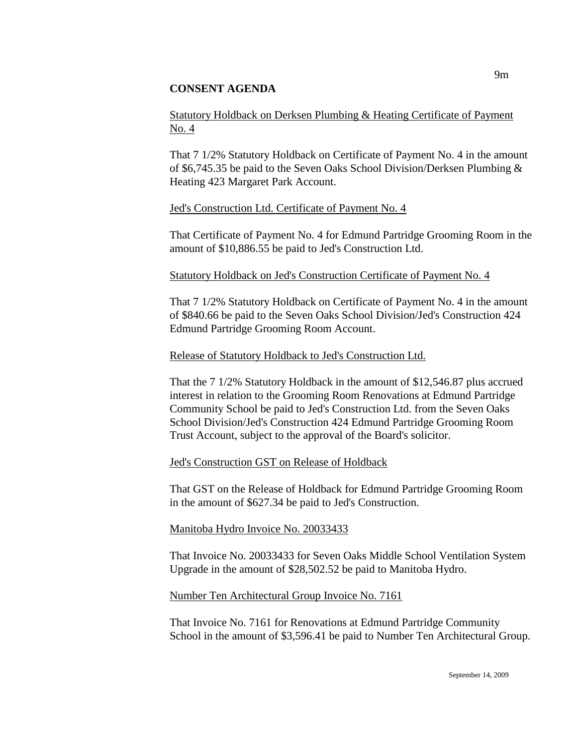## **CONSENT AGENDA**

## Statutory Holdback on Derksen Plumbing & Heating Certificate of Payment No. 4

That 7 1/2% Statutory Holdback on Certificate of Payment No. 4 in the amount of \$6,745.35 be paid to the Seven Oaks School Division/Derksen Plumbing & Heating 423 Margaret Park Account.

## Jed's Construction Ltd. Certificate of Payment No. 4

That Certificate of Payment No. 4 for Edmund Partridge Grooming Room in the amount of \$10,886.55 be paid to Jed's Construction Ltd.

## Statutory Holdback on Jed's Construction Certificate of Payment No. 4

That 7 1/2% Statutory Holdback on Certificate of Payment No. 4 in the amount of \$840.66 be paid to the Seven Oaks School Division/Jed's Construction 424 Edmund Partridge Grooming Room Account.

## Release of Statutory Holdback to Jed's Construction Ltd.

That the 7 1/2% Statutory Holdback in the amount of \$12,546.87 plus accrued interest in relation to the Grooming Room Renovations at Edmund Partridge Community School be paid to Jed's Construction Ltd. from the Seven Oaks School Division/Jed's Construction 424 Edmund Partridge Grooming Room Trust Account, subject to the approval of the Board's solicitor.

## Jed's Construction GST on Release of Holdback

That GST on the Release of Holdback for Edmund Partridge Grooming Room in the amount of \$627.34 be paid to Jed's Construction.

## Manitoba Hydro Invoice No. 20033433

That Invoice No. 20033433 for Seven Oaks Middle School Ventilation System Upgrade in the amount of \$28,502.52 be paid to Manitoba Hydro.

#### Number Ten Architectural Group Invoice No. 7161

That Invoice No. 7161 for Renovations at Edmund Partridge Community School in the amount of \$3,596.41 be paid to Number Ten Architectural Group.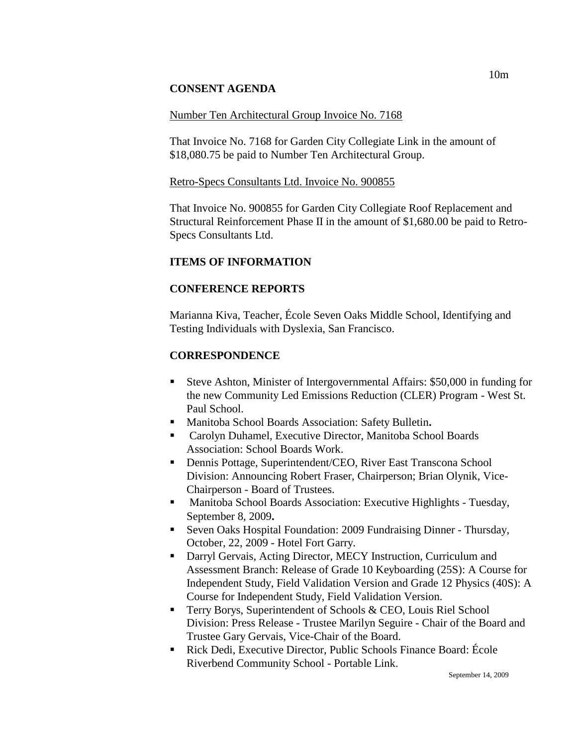## **CONSENT AGENDA**

#### Number Ten Architectural Group Invoice No. 7168

That Invoice No. 7168 for Garden City Collegiate Link in the amount of \$18,080.75 be paid to Number Ten Architectural Group.

#### Retro-Specs Consultants Ltd. Invoice No. 900855

That Invoice No. 900855 for Garden City Collegiate Roof Replacement and Structural Reinforcement Phase II in the amount of \$1,680.00 be paid to Retro-Specs Consultants Ltd.

## **ITEMS OF INFORMATION**

## **CONFERENCE REPORTS**

Marianna Kiva, Teacher, École Seven Oaks Middle School, Identifying and Testing Individuals with Dyslexia, San Francisco.

## **CORRESPONDENCE**

- Steve Ashton, Minister of Intergovernmental Affairs: \$50,000 in funding for the new Community Led Emissions Reduction (CLER) Program - West St. Paul School.
- Manitoba School Boards Association: Safety Bulletin**.**
- Carolyn Duhamel, Executive Director, Manitoba School Boards Association: School Boards Work.
- Dennis Pottage, Superintendent/CEO, River East Transcona School Division: Announcing Robert Fraser, Chairperson; Brian Olynik, Vice-Chairperson - Board of Trustees.
- **Manitoba School Boards Association: Executive Highlights Tuesday,** September 8, 2009**.**
- Seven Oaks Hospital Foundation: 2009 Fundraising Dinner Thursday, October, 22, 2009 - Hotel Fort Garry.
- Darryl Gervais, Acting Director, MECY Instruction, Curriculum and Assessment Branch: Release of Grade 10 Keyboarding (25S): A Course for Independent Study, Field Validation Version and Grade 12 Physics (40S): A Course for Independent Study, Field Validation Version.
- Terry Borys, Superintendent of Schools & CEO, Louis Riel School Division: Press Release - Trustee Marilyn Seguire - Chair of the Board and Trustee Gary Gervais, Vice-Chair of the Board.
- Rick Dedi, Executive Director, Public Schools Finance Board: École Riverbend Community School - Portable Link.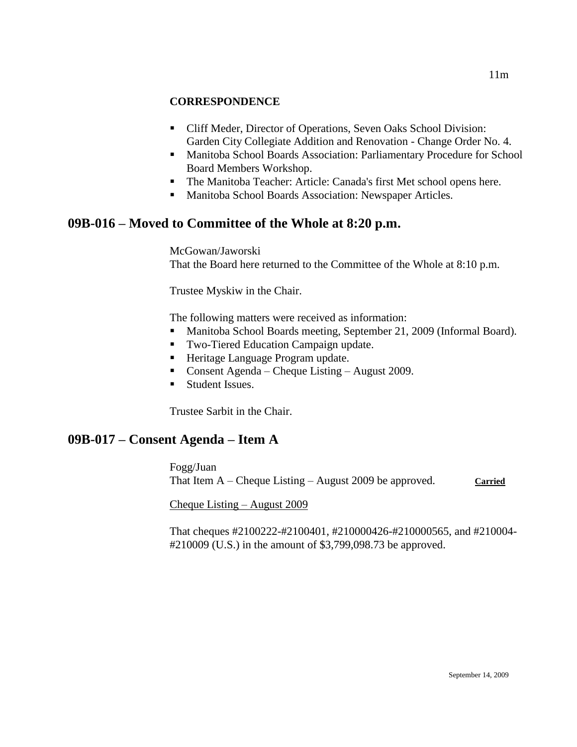## **CORRESPONDENCE**

- Cliff Meder, Director of Operations, Seven Oaks School Division: Garden City Collegiate Addition and Renovation - Change Order No. 4.
- Manitoba School Boards Association: Parliamentary Procedure for School Board Members Workshop.
- The Manitoba Teacher: Article: Canada's first Met school opens here.
- **Manitoba School Boards Association: Newspaper Articles.**

# **09B-016 – Moved to Committee of the Whole at 8:20 p.m.**

McGowan/Jaworski That the Board here returned to the Committee of the Whole at 8:10 p.m.

Trustee Myskiw in the Chair.

The following matters were received as information:

- Manitoba School Boards meeting, September 21, 2009 (Informal Board).
- Two-Tiered Education Campaign update.
- **Heritage Language Program update.**
- Consent Agenda Cheque Listing August 2009.
- Student Issues.

Trustee Sarbit in the Chair.

# **09B-017 – Consent Agenda – Item A**

Fogg/Juan That Item A – Cheque Listing – August 2009 be approved. **Carried**

Cheque Listing – August 2009

That cheques #2100222-#2100401, #210000426-#210000565, and #210004- #210009 (U.S.) in the amount of \$3,799,098.73 be approved.